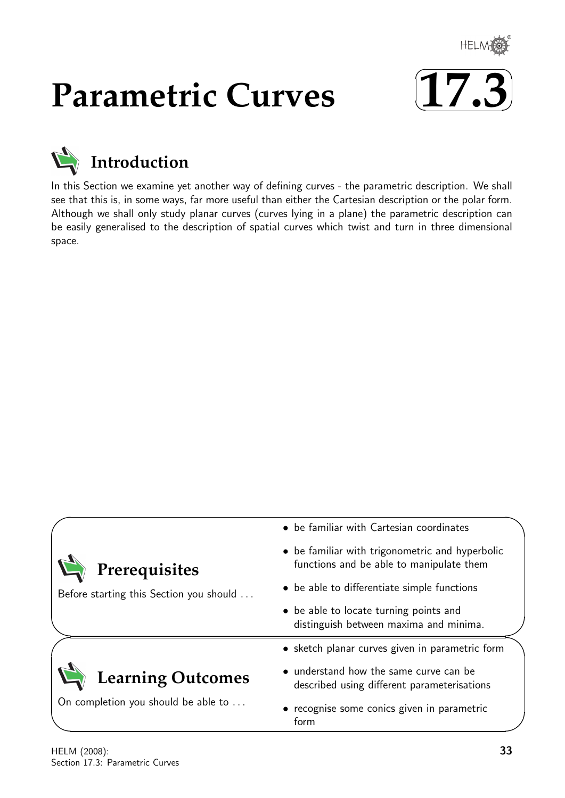

# **Parametric Curves**





# **Introduction**

In this Section we examine yet another way of defining curves - the parametric description. We shall see that this is, in some ways, far more useful than either the Cartesian description or the polar form. Although we shall only study planar curves (curves lying in a plane) the parametric description can be easily generalised to the description of spatial curves which twist and turn in three dimensional space.

|                                         | • be familiar with Cartesian coordinates                                                                                        |  |  |  |  |  |
|-----------------------------------------|---------------------------------------------------------------------------------------------------------------------------------|--|--|--|--|--|
| Prerequisites                           | • be familiar with trigonometric and hyperbolic<br>functions and be able to manipulate them                                     |  |  |  |  |  |
| Before starting this Section you should | • be able to differentiate simple functions<br>• be able to locate turning points and<br>distinguish between maxima and minima. |  |  |  |  |  |
|                                         |                                                                                                                                 |  |  |  |  |  |
|                                         | • sketch planar curves given in parametric form                                                                                 |  |  |  |  |  |
| <b>Learning Outcomes</b>                | • understand how the same curve can be<br>described using different parameterisations                                           |  |  |  |  |  |
| On completion you should be able to     | • recognise some conics given in parametric<br>form                                                                             |  |  |  |  |  |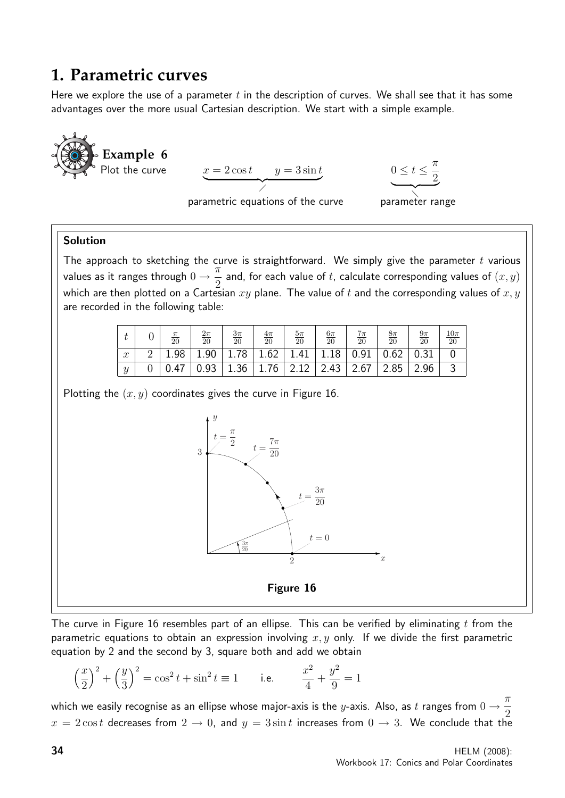# **1. Parametric curves**

Here we explore the use of a parameter t in the description of curves. We shall see that it has some advantages over the more usual Cartesian description. We start with a simple example.



The curve in Figure 16 resembles part of an ellipse. This can be verified by eliminating t from the parametric equations to obtain an expression involving  $x, y$  only. If we divide the first parametric equation by 2 and the second by 3, square both and add we obtain

$$
\left(\frac{x}{2}\right)^2 + \left(\frac{y}{3}\right)^2 = \cos^2 t + \sin^2 t \equiv 1 \quad \text{i.e.} \quad \frac{x^2}{4} + \frac{y^2}{9} = 1
$$

which we easily recognise as an ellipse whose major-axis is the  $y$ -axis. Also, as  $t$  ranges from  $0 \to \frac{\pi}{2}$ 2  $x = 2 \cos t$  decreases from  $2 \rightarrow 0$ , and  $y = 3 \sin t$  increases from  $0 \rightarrow 3$ . We conclude that the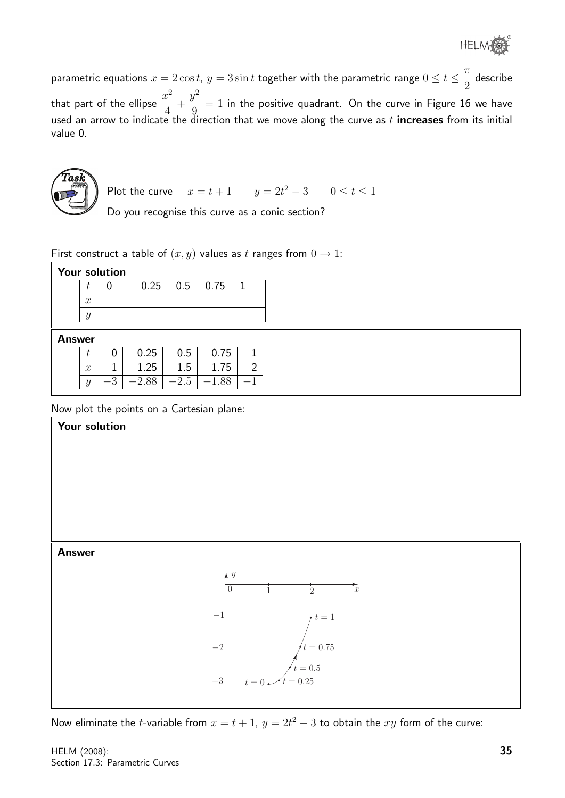®

parametric equations  $x=2\cos t$ ,  $y=3\sin t$  together with the parametric range  $0\leq t\leq\frac{\pi}{2}$ 2 describe that part of the ellipse  $\frac{x^2}{4}$ 4 +  $y^2$ 9  $= 1$  in the positive quadrant. On the curve in Figure 16 we have used an arrow to indicate the direction that we move along the curve as  $t$  increases from its initial value 0.



Plot the curve 
$$
x = t + 1
$$
  $y = 2t^2 - 3$   $0 \le t \le 1$ 

Do you recognise this curve as a conic section?

First construct a table of  $(x, y)$  values as t ranges from  $0 \rightarrow 1$ :

|               | <b>Your solution</b> |      |         |        |         |                |  |
|---------------|----------------------|------|---------|--------|---------|----------------|--|
|               | U                    | 0    | 0.25    | 0.5    | 0.75    |                |  |
|               | $\boldsymbol{x}$     |      |         |        |         |                |  |
|               | $\boldsymbol{y}$     |      |         |        |         |                |  |
| <b>Answer</b> |                      |      |         |        |         |                |  |
|               | U                    | 0    | 0.25    | 0.5    | 0.75    | 1              |  |
|               | $\boldsymbol{x}$     | T.   | 1.25    | 1.5    | 1.75    | $\overline{2}$ |  |
|               | $\boldsymbol{y}$     | $-3$ | $-2.88$ | $-2.5$ | $-1.88$ | $-1$           |  |

Now plot the points on a Cartesian plane:



Now eliminate the *t*-variable from  $x = t + 1$ ,  $y = 2t^2 - 3$  to obtain the xy form of the curve: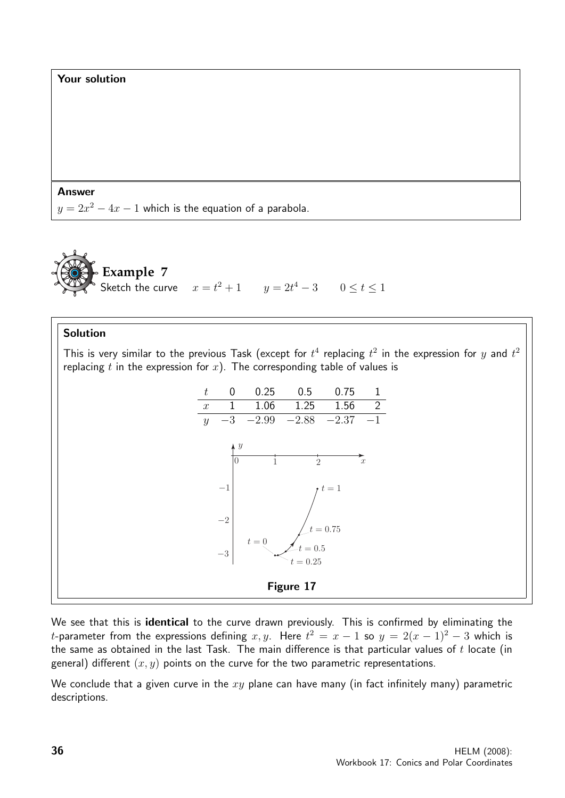



#### Solution

This is very similar to the previous Task (except for  $t^4$  replacing  $t^2$  in the expression for  $y$  and  $t^2$ replacing t in the expression for  $x$ ). The corresponding table of values is



We see that this is identical to the curve drawn previously. This is confirmed by eliminating the t-parameter from the expressions defining  $x,y$ . Here  $t^2 = x - 1$  so  $y = 2(x - 1)^2 - 3$  which is the same as obtained in the last Task. The main difference is that particular values of  $t$  locate (in general) different  $(x, y)$  points on the curve for the two parametric representations.

We conclude that a given curve in the  $xy$  plane can have many (in fact infinitely many) parametric descriptions.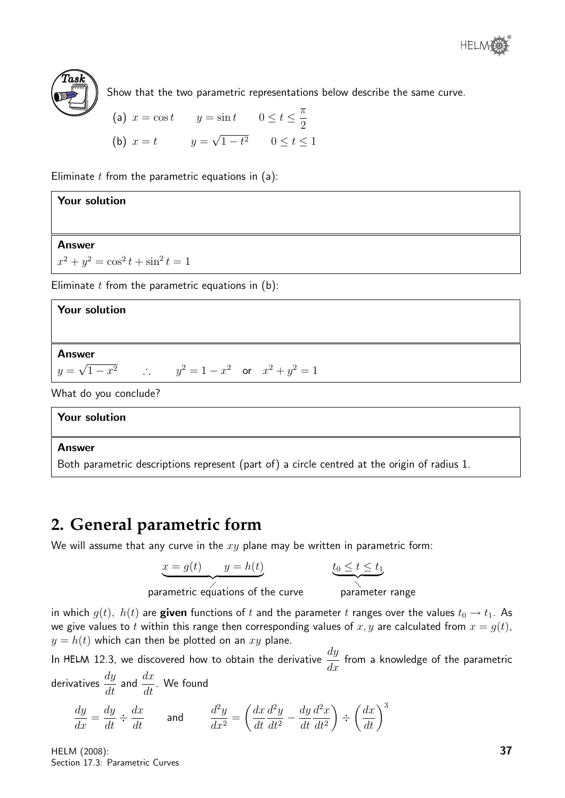



Show that the two parametric representations below describe the same curve.

(a) 
$$
x = \cos t
$$
  $y = \sin t$   $0 \le t \le \frac{\pi}{2}$   
\n(b)  $x = t$   $y = \sqrt{1 - t^2}$   $0 \le t \le 1$ 

Eliminate  $t$  from the parametric equations in (a):

| Your solution                                             |  |  |  |  |  |  |  |  |
|-----------------------------------------------------------|--|--|--|--|--|--|--|--|
|                                                           |  |  |  |  |  |  |  |  |
| <b>Answer</b>                                             |  |  |  |  |  |  |  |  |
| $x^2 + y^2 = \cos^2 t + \sin^2 t = 1$                     |  |  |  |  |  |  |  |  |
| Eliminate $t$ from the parametric equations in $(b)$ :    |  |  |  |  |  |  |  |  |
| <b>Your solution</b>                                      |  |  |  |  |  |  |  |  |
|                                                           |  |  |  |  |  |  |  |  |
| <b>Answer</b>                                             |  |  |  |  |  |  |  |  |
| $y = \sqrt{1 - x^2}$ : $y^2 = 1 - x^2$ or $x^2 + y^2 = 1$ |  |  |  |  |  |  |  |  |

What do you conclude?

#### Your solution

#### Answer

Both parametric descriptions represent (part of) a circle centred at the origin of radius 1.

## **2. General parametric form**

We will assume that any curve in the  $xy$  plane may be written in parametric form:

$$
x = g(t) \qquad y = h(t)
$$

$$
t_0\leq t\leq t_1
$$

parametric equations of the curve parameter range

parameter range

in which  $g(t)$ ,  $h(t)$  are given functions of t and the parameter t ranges over the values  $t_0 \rightarrow t_1$ . As we give values to t within this range then corresponding values of  $x, y$  are calculated from  $x = g(t)$ ,  $y = h(t)$  which can then be plotted on an xy plane.

In HELM 12.3, we discovered how to obtain the derivative  $\frac{dy}{dx}$  $\frac{dy}{dx}$  from a knowledge of the parametric

derivatives  $\displaystyle{\frac{dy}{dt}}$  and  $\displaystyle{\frac{dx}{dt}}$ . We found

$$
\frac{dy}{dx} = \frac{dy}{dt} \div \frac{dx}{dt} \quad \text{and} \quad \frac{d^2y}{dx^2} = \left(\frac{dx}{dt}\frac{d^2y}{dt^2} - \frac{dy}{dt}\frac{d^2x}{dt^2}\right) \div \left(\frac{dx}{dt}\right)^3
$$

HELM (2008): Section 17.3: Parametric Curves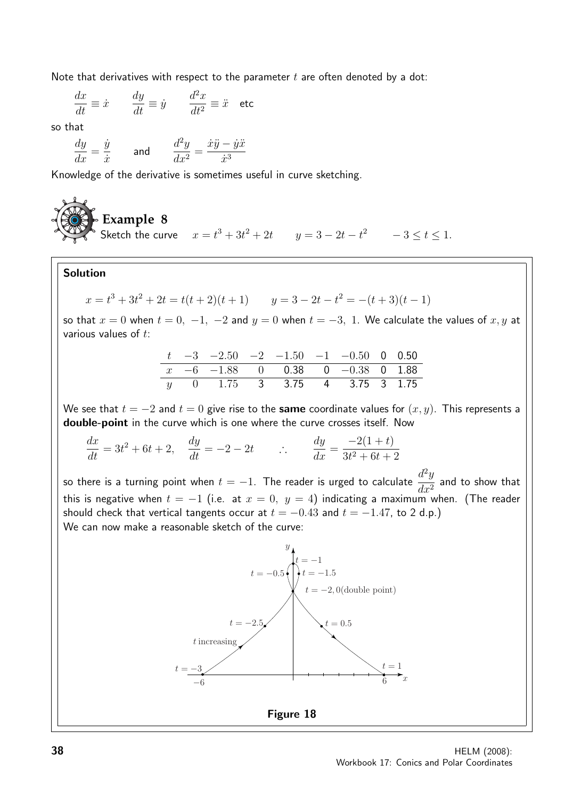Note that derivatives with respect to the parameter  $t$  are often denoted by a dot:

$$
\frac{dx}{dt} \equiv \dot{x} \qquad \frac{dy}{dt} \equiv \dot{y} \qquad \frac{d^2x}{dt^2} \equiv \ddot{x} \quad \text{etc}
$$

so that

$$
\frac{dy}{dx}=\frac{\dot{y}}{\dot{x}} \qquad \text{and} \qquad \frac{d^2y}{dx^2}=\frac{\dot{x}\ddot{y}-\dot{y}\ddot{x}}{\dot{x}^3}
$$

Knowledge of the derivative is sometimes useful in curve sketching.

### **Example 8** Sketch the curve  $x = t^3 + 3t^2 + 2t$   $y = 3 - 2t - t^2$   $-3 \le t \le 1$ .

#### Solution

$$
x = t3 + 3t2 + 2t = t(t + 2)(t + 1) \qquad y = 3 - 2t - t2 = -(t + 3)(t - 1)
$$

so that  $x = 0$  when  $t = 0, -1, -2$  and  $y = 0$  when  $t = -3, 1$ . We calculate the values of  $x, y$  at various values of  $t$ :

|  | $t \quad -3 \quad -2.50 \quad -2 \quad -1.50 \quad -1 \quad -0.50 \quad 0 \quad 0.50$ |  |  |  |
|--|---------------------------------------------------------------------------------------|--|--|--|
|  | $x -6 -1.88$ 0 0.38 0 -0.38 0 1.88                                                    |  |  |  |
|  | y 0 1.75 3 3.75 4 3.75 3 1.75                                                         |  |  |  |

We see that  $t = -2$  and  $t = 0$  give rise to the same coordinate values for  $(x, y)$ . This represents a double-point in the curve which is one where the curve crosses itself. Now

 $dx$  $\frac{dx}{dt} = 3t^2 + 6t + 2, \quad \frac{dy}{dt} = -2 - 2t \qquad \therefore \qquad \frac{dy}{dx}$  $\frac{dy}{dx} =$  $-2(1+t)$  $3t^2 + 6t + 2$ 

so there is a turning point when  $t=-1$ . The reader is urged to calculate  $\frac{d^2y}{dt^2}$  $\frac{d^2y}{dx^2}$  and to show that this is negative when  $t = -1$  (i.e. at  $x = 0$ ,  $y = 4$ ) indicating a maximum when. (The reader should check that vertical tangents occur at  $t = -0.43$  and  $t = -1.47$ , to 2 d.p.) We can now make a reasonable sketch of the curve:

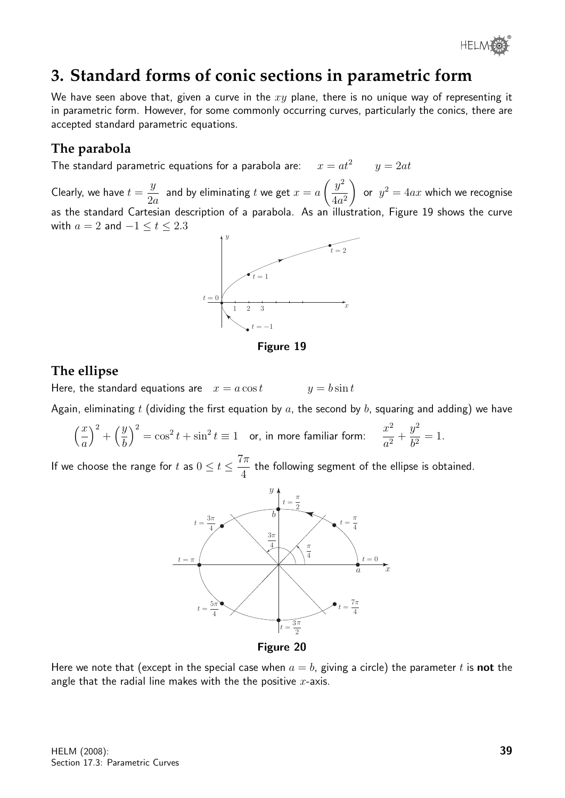

# **3. Standard forms of conic sections in parametric form**

We have seen above that, given a curve in the  $xy$  plane, there is no unique way of representing it in parametric form. However, for some commonly occurring curves, particularly the conics, there are accepted standard parametric equations.

#### **The parabola**

The standard parametric equations for a parabola are:  $x = at^2$   $y = 2at$ 

Clearly, we have  $t =$  $\hat{y}$ 2a and by eliminating t we get  $x = a$  $\int y^2$  $4a^2$  $\setminus$ or  $y^2 = 4ax$  which we recognise as the standard Cartesian description of a parabola. As an illustration, Figure 19 shows the curve with  $a = 2$  and  $-1 \le t \le 2.3$ 



Figure 19

#### **The ellipse**

Here, the standard equations are  $x = a \cos t$   $y = b \sin t$ 

Again, eliminating t (dividing the first equation by a, the second by b, squaring and adding) we have

$$
\left(\frac{x}{a}\right)^2 + \left(\frac{y}{b}\right)^2 = \cos^2 t + \sin^2 t \equiv 1 \quad \text{or, in more familiar form:} \quad \frac{x^2}{a^2} + \frac{y^2}{b^2} = 1.
$$

If we choose the range for t as  $0 \le t \le \frac{7\pi}{4}$ 4 the following segment of the ellipse is obtained.



Here we note that (except in the special case when  $a = b$ , giving a circle) the parameter t is **not** the angle that the radial line makes with the the positive  $x$ -axis.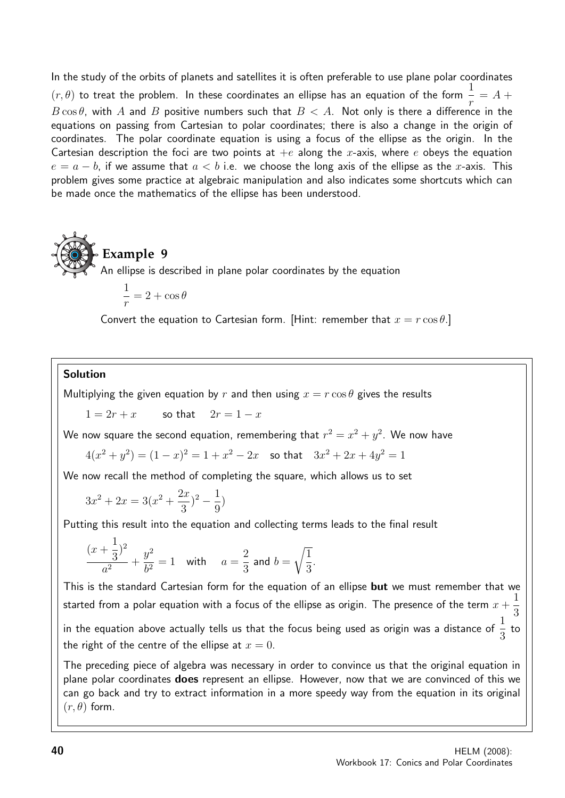In the study of the orbits of planets and satellites it is often preferable to use plane polar coordinates  $(r,\theta)$  to treat the problem. In these coordinates an ellipse has an equation of the form  $\frac{1}{r}=A+\frac{1}{f}$ r  $B\cos\theta$ , with  $A$  and  $B$  positive numbers such that  $B < A$ . Not only is there a difference in the equations on passing from Cartesian to polar coordinates; there is also a change in the origin of coordinates. The polar coordinate equation is using a focus of the ellipse as the origin. In the Cartesian description the foci are two points at  $+e$  along the x-axis, where e obeys the equation  $e = a - b$ , if we assume that  $a < b$  i.e. we choose the long axis of the ellipse as the x-axis. This problem gives some practice at algebraic manipulation and also indicates some shortcuts which can be made once the mathematics of the ellipse has been understood.



$$
\frac{1}{r} = 2 + \cos \theta
$$

Convert the equation to Cartesian form. [Hint: remember that  $x = r \cos \theta$ .]

#### Solution

Multiplying the given equation by r and then using  $x = r \cos \theta$  gives the results

 $1 = 2r + x$  so that  $2r = 1 - x$ 

We now square the second equation, remembering that  $r^2 = x^2 + y^2.$  We now have

 $4(x^2+y^2)=(1-x)^2=1+x^2-2x$  so that  $3x^2+2x+4y^2=1$ 

We now recall the method of completing the square, which allows us to set

$$
3x^2 + 2x = 3(x^2 + \frac{2x}{3})^2 - \frac{1}{9})
$$

Putting this result into the equation and collecting terms leads to the final result

$$
\frac{(x+\frac{1}{3})^2}{a^2} + \frac{y^2}{b^2} = 1 \quad \text{with} \quad a = \frac{2}{3} \text{ and } b = \sqrt{\frac{1}{3}}.
$$

This is the standard Cartesian form for the equation of an ellipse but we must remember that we started from a polar equation with a focus of the ellipse as origin. The presence of the term  $x\,+\,$ 1 3 in the equation above actually tells us that the focus being used as origin was a distance of  $\frac{1}{2}$ 3 to the right of the centre of the ellipse at  $x = 0$ .

The preceding piece of algebra was necessary in order to convince us that the original equation in plane polar coordinates does represent an ellipse. However, now that we are convinced of this we can go back and try to extract information in a more speedy way from the equation in its original  $(r, \theta)$  form.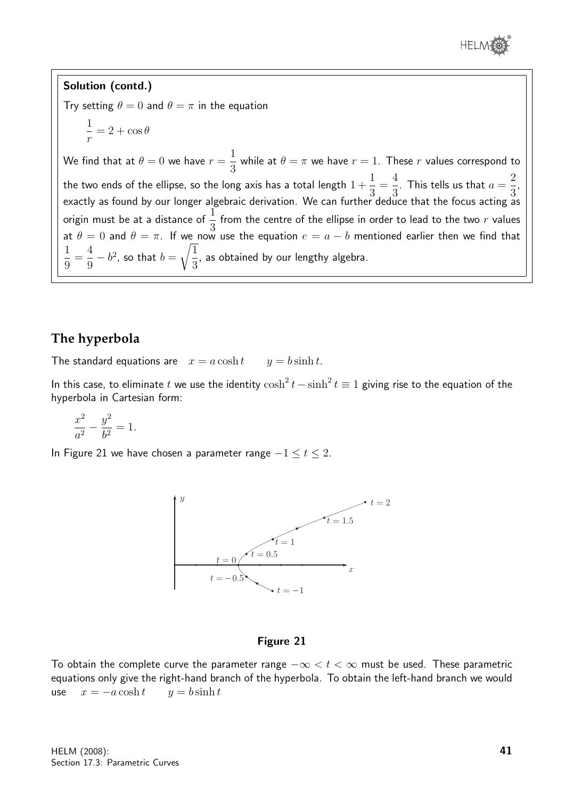

2 3 ,

. This tells us that  $a=$ 

Solution (contd.) Try setting  $\theta = 0$  and  $\theta = \pi$  in the equation 1 r  $= 2 + \cos \theta$ We find that at  $\theta=0$  we have  $r=$ 1 3 while at  $\theta=\pi$  we have  $r=1.$  These  $r$  values correspond to the two ends of the ellipse, so the long axis has a total length  $1\,+\,$ exactly as found by our longer algebraic derivation. We can further deduce that the focus acting as origin must be at a distance of  $\frac{1}{2}$ 3 from the centre of the ellipse in order to lead to the two  $r$  values at  $\theta = 0$  and  $\theta = \pi$ . If we now use the equation  $e = a - b$  mentioned earlier then we find that 4  $\sqrt{1}$ 

#### **The hyperbola**

9

 $- b<sup>2</sup>$ , so that  $b =$ 

1 9 =

The standard equations are  $x = a \cosh t$   $y = b \sinh t$ .

3

In this case, to eliminate t we use the identity  $\cosh^2 t - \sinh^2 t \equiv 1$  giving rise to the equation of the hyperbola in Cartesian form:

, as obtained by our lengthy algebra.

1 3 = 4 3

$$
\frac{x^2}{a^2} - \frac{y^2}{b^2} = 1.
$$

In Figure 21 we have chosen a parameter range  $-1 \le t \le 2$ .



#### Figure 21

To obtain the complete curve the parameter range  $-\infty < t < \infty$  must be used. These parametric equations only give the right-hand branch of the hyperbola. To obtain the left-hand branch we would use  $x = -a \cosh t$   $y = b \sinh t$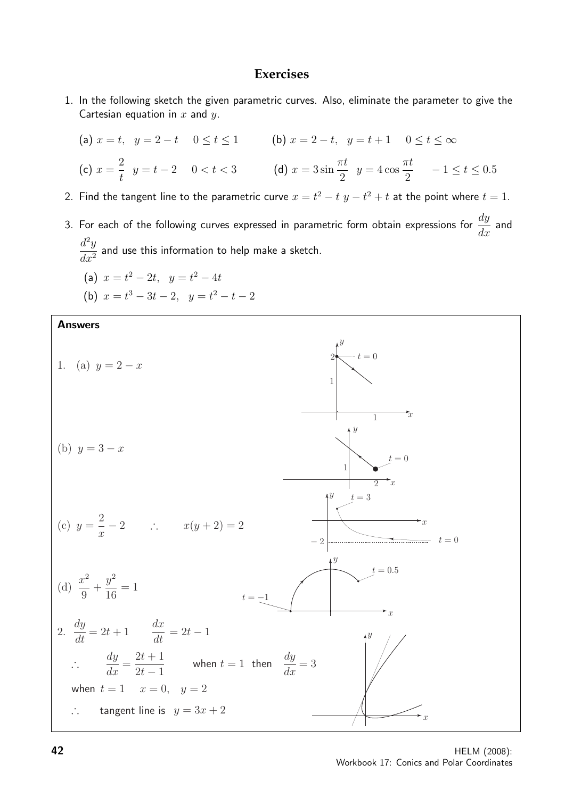#### **Exercises**

1. In the following sketch the given parametric curves. Also, eliminate the parameter to give the Cartesian equation in  $x$  and  $y$ .

(a) 
$$
x = t
$$
,  $y = 2 - t$   $0 \le t \le 1$   
\n(b)  $x = 2 - t$ ,  $y = t + 1$   $0 \le t \le \infty$   
\n(c)  $x = \frac{2}{t}$   $y = t - 2$   $0 < t < 3$   
\n(d)  $x = 3 \sin \frac{\pi t}{2}$   $y = 4 \cos \frac{\pi t}{2}$   $-1 \le t \le 0.5$ 

- 2. Find the tangent line to the parametric curve  $x = t^2 t$   $y t^2 + t$  at the point where  $t = 1$ .
- 3. For each of the following curves expressed in parametric form obtain expressions for  $\frac{dy}{d\theta}$  $rac{dy}{dx}$  and  $d^2y$  $\frac{d^2y}{dx^2}$  and use this information to help make a sketch.

(a) 
$$
x = t^2 - 2t
$$
,  $y = t^2 - 4t$ 

(b)  $x = t^3 - 3t - 2$ ,  $y = t^2 - t - 2$